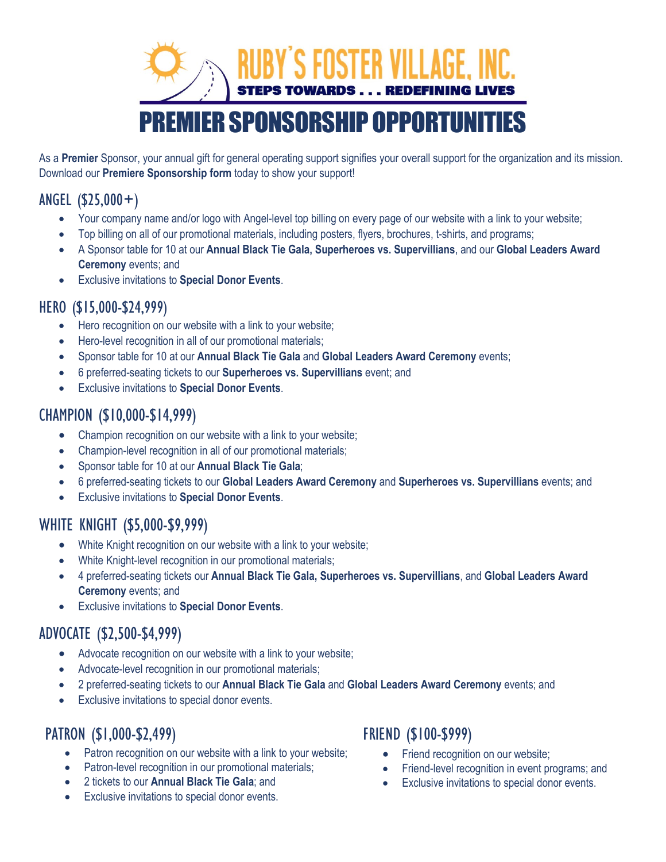# **FOSTER VILLAGE. STEPS TOWARDS . . . REDEFINING I EMIER SPONSORSHIP OPPORTUNITIES**

As a **Premier** Sponsor, your annual gift for general operating support signifies your overall support for the organization and its mission. Download our **Premiere Sponsorship form** today to show your support!

#### ANGEL (\$25,000+)

- Your company name and/or logo with Angel-level top billing on every page of our website with a link to your website;
- Top billing on all of our promotional materials, including posters, flyers, brochures, t-shirts, and programs;
- A Sponsor table for 10 at our **Annual Black Tie Gala, Superheroes vs. Supervillians**, and our **Global Leaders Award Ceremony** events; and
- Exclusive invitations to **Special Donor Events**.

#### HERO (\$15,000-\$24,999)

- Hero recognition on our website with a link to your website;
- Hero-level recognition in all of our promotional materials;
- Sponsor table for 10 at our **Annual Black Tie Gala** and **Global Leaders Award Ceremony** events;
- 6 preferred-seating tickets to our **Superheroes vs. Supervillians** event; and
- Exclusive invitations to **Special Donor Events**.

#### CHAMPION (\$10,000-\$14,999)

- Champion recognition on our website with a link to your website;
- Champion-level recognition in all of our promotional materials;
- Sponsor table for 10 at our **Annual Black Tie Gala**;
- 6 preferred-seating tickets to our **Global Leaders Award Ceremony** and **Superheroes vs. Supervillians** events; and
- Exclusive invitations to **Special Donor Events**.

#### WHITE KNIGHT (\$5,000-\$9,999)

- White Knight recognition on our website with a link to your website;
- White Knight-level recognition in our promotional materials;
- 4 preferred-seating tickets our **Annual Black Tie Gala, Superheroes vs. Supervillians**, and **Global Leaders Award Ceremony** events; and
- Exclusive invitations to **Special Donor Events**.

#### ADVOCATE (\$2,500-\$4,999)

- Advocate recognition on our website with a link to your website;
- Advocate-level recognition in our promotional materials;
- 2 preferred-seating tickets to our **Annual Black Tie Gala** and **Global Leaders Award Ceremony** events; and
- Exclusive invitations to special donor events.

### PATRON (\$1,000-\$2,499)

- Patron recognition on our website with a link to your website;
- Patron-level recognition in our promotional materials;
- 2 tickets to our **Annual Black Tie Gala**; and
- Exclusive invitations to special donor events.

#### FRIEND (\$100-\$999)

- Friend recognition on our website;
- Friend-level recognition in event programs; and
- Exclusive invitations to special donor events.